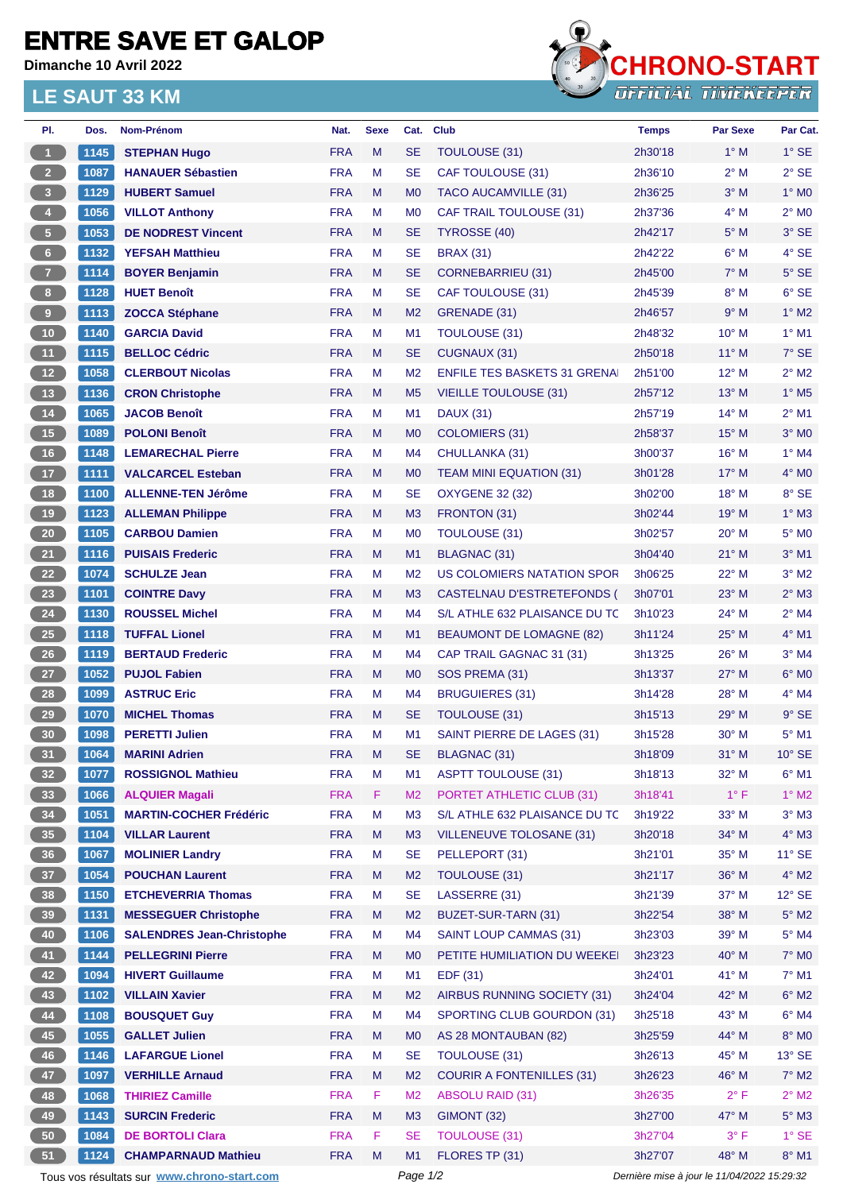## **ENTRE SAVE ET GALOP**

**Dimanche 10 Avril 2022**

## **LE SAUT 33 KM**



| PI.                     | Dos. | Nom-Prénom                                               | Nat.       | <b>Sexe</b> | Cat.           | <b>Club</b>                         | Temps                                       | <b>Par Sexe</b> | Par Cat.                   |  |
|-------------------------|------|----------------------------------------------------------|------------|-------------|----------------|-------------------------------------|---------------------------------------------|-----------------|----------------------------|--|
| $\mathbf{1}$            | 1145 | <b>STEPHAN Hugo</b>                                      | <b>FRA</b> | M           | <b>SE</b>      | TOULOUSE (31)                       | 2h30'18                                     | $1^\circ$ M     | $1^\circ$ SE               |  |
| 2 <sup>2</sup>          | 1087 | <b>HANAUER Sébastien</b>                                 | <b>FRA</b> | М           | <b>SE</b>      | CAF TOULOUSE (31)                   | 2h36'10                                     | 2° M            | $2^{\circ}$ SE             |  |
| $\overline{\mathbf{3}}$ | 1129 | <b>HUBERT Samuel</b>                                     | <b>FRA</b> | M           | M <sub>0</sub> | <b>TACO AUCAMVILLE (31)</b>         | 2h36'25                                     | $3^\circ$ M     | $1^\circ$ MO               |  |
| $\overline{4}$          | 1056 | <b>VILLOT Anthony</b>                                    | <b>FRA</b> | М           | M0             | <b>CAF TRAIL TOULOUSE (31)</b>      | 2h37'36                                     | 4° M            | $2^{\circ}$ M <sub>0</sub> |  |
| ${\bf 5}$               | 1053 | <b>DE NODREST Vincent</b>                                | <b>FRA</b> | M           | <b>SE</b>      | TYROSSE (40)                        | 2h42'17                                     | $5^\circ$ M     | $3°$ SE                    |  |
| $6\phantom{.}6$         | 1132 | <b>YEFSAH Matthieu</b>                                   | <b>FRA</b> | М           | <b>SE</b>      | <b>BRAX (31)</b>                    | 2h42'22                                     | $6^{\circ}$ M   | 4° SE                      |  |
| $\overline{7}$          | 1114 | <b>BOYER Benjamin</b>                                    | <b>FRA</b> | M           | <b>SE</b>      | <b>CORNEBARRIEU (31)</b>            | 2h45'00                                     | $7^\circ$ M     | $5^\circ$ SE               |  |
| 8 <sub>1</sub>          | 1128 | <b>HUET Benoît</b>                                       | <b>FRA</b> | М           | SE             | CAF TOULOUSE (31)                   | 2h45'39                                     | 8° M            | $6^{\circ}$ SE             |  |
| $\overline{\mathbf{9}}$ | 1113 | <b>ZOCCA Stéphane</b>                                    | <b>FRA</b> | M           | M <sub>2</sub> | GRENADE (31)                        | 2h46'57                                     | $9^\circ$ M     | $1^\circ$ M2               |  |
| 10                      | 1140 | <b>GARCIA David</b>                                      | <b>FRA</b> | М           | M1             | TOULOUSE (31)                       | 2h48'32                                     | $10^{\circ}$ M  | $1°$ M1                    |  |
| 11                      | 1115 | <b>BELLOC Cédric</b>                                     | <b>FRA</b> | M           | <b>SE</b>      | CUGNAUX (31)                        | 2h50'18                                     | $11^{\circ}$ M  | $7^\circ$ SE               |  |
| 12                      | 1058 | <b>CLERBOUT Nicolas</b>                                  | <b>FRA</b> | М           | M <sub>2</sub> | <b>ENFILE TES BASKETS 31 GRENAL</b> | 2h51'00                                     | $12^{\circ}$ M  | $2^{\circ}$ M2             |  |
| 13                      | 1136 | <b>CRON Christophe</b>                                   | <b>FRA</b> | M           | M <sub>5</sub> | <b>VIEILLE TOULOUSE (31)</b>        | 2h57'12                                     | $13^\circ$ M    | $1^\circ$ M <sub>5</sub>   |  |
| $14$                    | 1065 | <b>JACOB Benoît</b>                                      | <b>FRA</b> | М           | M1             | <b>DAUX (31)</b>                    | 2h57'19                                     | $14^{\circ}$ M  | $2^{\circ}$ M1             |  |
| 15                      | 1089 | <b>POLONI Benoît</b>                                     | <b>FRA</b> | M           | M <sub>0</sub> | COLOMIERS (31)                      | 2h58'37                                     | $15^{\circ}$ M  | $3^\circ$ MO               |  |
| 16                      | 1148 | <b>LEMARECHAL Pierre</b>                                 | <b>FRA</b> | M           | M4             | CHULLANKA (31)                      | 3h00'37                                     | $16^{\circ}$ M  | $1°$ M4                    |  |
| 17                      | 1111 | <b>VALCARCEL Esteban</b>                                 | <b>FRA</b> | M           | M0             | <b>TEAM MINI EQUATION (31)</b>      | 3h01'28                                     | $17^\circ$ M    | $4^\circ$ MO               |  |
| 18                      | 1100 | <b>ALLENNE-TEN Jérôme</b>                                | <b>FRA</b> | М           | <b>SE</b>      | <b>OXYGENE 32 (32)</b>              | 3h02'00                                     | $18^{\circ}$ M  | 8° SE                      |  |
| 19                      | 1123 | <b>ALLEMAN Philippe</b>                                  | <b>FRA</b> | M           | M <sub>3</sub> | FRONTON (31)                        | 3h02'44                                     | $19^{\circ}$ M  | $1^\circ$ M3               |  |
| 20                      | 1105 | <b>CARBOU Damien</b>                                     | <b>FRA</b> | M           | M <sub>0</sub> | TOULOUSE (31)                       | 3h02'57                                     | $20^{\circ}$ M  | $5^\circ$ MO               |  |
| 21                      | 1116 | <b>PUISAIS Frederic</b>                                  | <b>FRA</b> | M           | M1             | <b>BLAGNAC (31)</b>                 | 3h04'40                                     | $21^{\circ}$ M  | $3°$ M1                    |  |
| 22                      | 1074 | <b>SCHULZE Jean</b>                                      | <b>FRA</b> | M           | M <sub>2</sub> | US COLOMIERS NATATION SPOR          | 3h06'25                                     | $22^{\circ}$ M  | $3^\circ$ M2               |  |
| 23                      | 1101 | <b>COINTRE Davy</b>                                      | <b>FRA</b> | M           | M <sub>3</sub> | CASTELNAU D'ESTRETEFONDS (          | 3h07'01                                     | $23^\circ$ M    | $2^{\circ}$ M3             |  |
| 24                      | 1130 | <b>ROUSSEL Michel</b>                                    | <b>FRA</b> | М           | M4             | S/L ATHLE 632 PLAISANCE DU TC       | 3h10'23                                     | 24° M           | $2^{\circ}$ M4             |  |
| <b>25</b>               | 1118 | <b>TUFFAL Lionel</b>                                     | <b>FRA</b> | M           | M <sub>1</sub> | BEAUMONT DE LOMAGNE (82)            | 3h11'24                                     | $25^{\circ}$ M  | $4^\circ$ M1               |  |
| 26                      | 1119 | <b>BERTAUD Frederic</b>                                  | <b>FRA</b> | М           | M4             | CAP TRAIL GAGNAC 31 (31)            | 3h13'25                                     | $26^{\circ}$ M  | $3°$ M4                    |  |
| 27                      | 1052 | <b>PUJOL Fabien</b>                                      | <b>FRA</b> | M           | M0             | SOS PREMA (31)                      | 3h13'37                                     | $27^\circ$ M    | $6^\circ$ MO               |  |
| 28                      | 1099 | <b>ASTRUC Eric</b>                                       | <b>FRA</b> | М           | M4             | BRUGUIERES (31)                     | 3h14'28                                     | $28^{\circ}$ M  | $4^\circ$ M4               |  |
| 29                      | 1070 | <b>MICHEL Thomas</b>                                     | <b>FRA</b> | M           | <b>SE</b>      | TOULOUSE (31)                       | 3h15'13                                     | 29° M           | $9°$ SE                    |  |
| 30                      | 1098 | <b>PERETTI Julien</b>                                    | <b>FRA</b> | М           | M1             | SAINT PIERRE DE LAGES (31)          | 3h15'28                                     | $30^\circ$ M    | $5^{\circ}$ M1             |  |
| 31                      | 1064 | <b>MARINI Adrien</b>                                     | <b>FRA</b> | M           | <b>SE</b>      | BLAGNAC (31)                        | 3h18'09                                     | $31^\circ$ M    | $10^{\circ}$ SE            |  |
| 32 <sub>2</sub>         | 1077 | <b>ROSSIGNOL Mathieu</b>                                 | <b>FRA</b> | M           | M1             | <b>ASPTT TOULOUSE (31)</b>          | 3h18'13                                     | 32° M           | $6^{\circ}$ M1             |  |
| 33                      | 1066 | <b>ALQUIER Magali</b>                                    | <b>FRA</b> | F           | M2             | PORTET ATHLETIC CLUB (31)           | 3h18'41                                     | $1^{\circ}$ F   | $1^\circ$ M2               |  |
| 34                      | 1051 | <b>MARTIN-COCHER Frédéric</b>                            | <b>FRA</b> | M           | MЗ             | S/L ATHLE 632 PLAISANCE DU TC       | 3h19'22                                     | $33^\circ$ M    | $3°$ M3                    |  |
| 35                      | 1104 | <b>VILLAR Laurent</b>                                    | <b>FRA</b> | M           | M <sub>3</sub> | <b>VILLENEUVE TOLOSANE (31)</b>     | 3h20'18                                     | 34° M           | $4^\circ$ M3               |  |
|                         |      |                                                          | <b>FRA</b> | M           | <b>SE</b>      | PELLEPORT (31)                      | 3h21'01                                     | 35° M           |                            |  |
| 36                      | 1067 | <b>MOLINIER Landry</b><br><b>POUCHAN Laurent</b>         |            |             |                |                                     |                                             |                 | $11^\circ$ SE              |  |
| 37 <sup>°</sup>         | 1054 |                                                          | <b>FRA</b> | M           | M <sub>2</sub> | TOULOUSE (31)                       | 3h21'17                                     | 36° M           | $4^\circ$ M2               |  |
| 38                      | 1150 | <b>ETCHEVERRIA Thomas</b><br><b>MESSEGUER Christophe</b> | <b>FRA</b> | M           | <b>SE</b>      | LASSERRE (31)                       | 3h21'39                                     | $37^\circ$ M    | $12^{\circ}$ SE            |  |
| 39                      | 1131 |                                                          | <b>FRA</b> | M           | M <sub>2</sub> | BUZET-SUR-TARN (31)                 | 3h22'54                                     | 38° M           | $5^\circ$ M2               |  |
| 40                      | 1106 | <b>SALENDRES Jean-Christophe</b>                         | <b>FRA</b> | M           | M4             | SAINT LOUP CAMMAS (31)              | 3h23'03                                     | 39° M           | $5^\circ$ M4               |  |
| 41                      | 1144 | <b>PELLEGRINI Pierre</b>                                 | <b>FRA</b> | M           | M0             | PETITE HUMILIATION DU WEEKE         | 3h23'23                                     | 40° M           | $7^\circ$ MO               |  |
| 42                      | 1094 | <b>HIVERT Guillaume</b>                                  | <b>FRA</b> | M           | M1             | EDF (31)                            | 3h24'01                                     | 41° M           | $7^\circ$ M1               |  |
| 43                      | 1102 | <b>VILLAIN Xavier</b>                                    | <b>FRA</b> | M           | M <sub>2</sub> | AIRBUS RUNNING SOCIETY (31)         | 3h24'04                                     | 42° M           | $6^{\circ}$ M2             |  |
| 44                      | 1108 | <b>BOUSQUET Guy</b>                                      | <b>FRA</b> | M           | M4             | SPORTING CLUB GOURDON (31)          | 3h25'18                                     | 43° M           | $6^\circ$ M4               |  |
| 45                      | 1055 | <b>GALLET Julien</b>                                     | <b>FRA</b> | M           | M0             | AS 28 MONTAUBAN (82)                | 3h25'59                                     | 44° M           | $8^\circ$ MO               |  |
| 46                      | 1146 | <b>LAFARGUE Lionel</b>                                   | <b>FRA</b> | M           | <b>SE</b>      | TOULOUSE (31)                       | 3h26'13                                     | 45° M           | $13^\circ$ SE              |  |
| 47                      | 1097 | <b>VERHILLE Arnaud</b>                                   | <b>FRA</b> | M           | M <sub>2</sub> | <b>COURIR A FONTENILLES (31)</b>    | 3h26'23                                     | 46° M           | $7^\circ$ M2               |  |
| 48                      | 1068 | <b>THIRIEZ Camille</b>                                   | <b>FRA</b> | F           | M <sub>2</sub> | <b>ABSOLU RAID (31)</b>             | 3h26'35                                     | $2^{\circ}$ F   | $2^{\circ}$ M2             |  |
| 49                      | 1143 | <b>SURCIN Frederic</b>                                   | <b>FRA</b> | M           | M <sub>3</sub> | GIMONT (32)                         | 3h27'00                                     | 47° M           | $5^\circ$ M3               |  |
| ${\bf 50}$              | 1084 | <b>DE BORTOLI Clara</b>                                  | <b>FRA</b> | F           | <b>SE</b>      | <b>TOULOUSE (31)</b>                | 3h27'04                                     | $3^{\circ}$ F   | $1^\circ$ SE               |  |
| 51                      | 1124 | <b>CHAMPARNAUD Mathieu</b>                               | <b>FRA</b> | M           | M1             | FLORES TP (31)                      | 3h27'07                                     | 48° M           | $8^\circ$ M1               |  |
|                         |      | Tous vos résultats sur www.chrono-start.com              |            | Page 1/2    |                |                                     | Dernière mise à jour le 11/04/2022 15:29:32 |                 |                            |  |